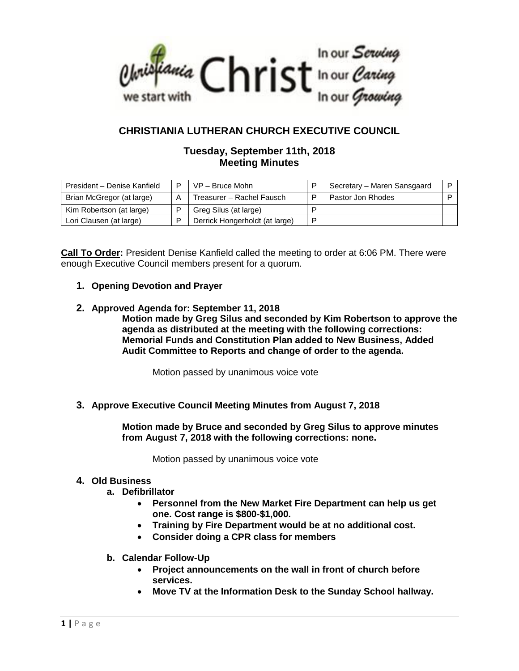

# **CHRISTIANIA LUTHERAN CHURCH EXECUTIVE COUNCIL**

## **Tuesday, September 11th, 2018 Meeting Minutes**

| President - Denise Kanfield | P | $VP - Bruce$ Mohn              |   | Secretary - Maren Sansgaard |  |
|-----------------------------|---|--------------------------------|---|-----------------------------|--|
| Brian McGregor (at large)   | Α | Treasurer - Rachel Fausch      |   | Pastor Jon Rhodes           |  |
| Kim Robertson (at large)    |   | Greg Silus (at large)          |   |                             |  |
| Lori Clausen (at large)     |   | Derrick Hongerholdt (at large) | D |                             |  |

**Call To Order:** President Denise Kanfield called the meeting to order at 6:06 PM. There were enough Executive Council members present for a quorum.

## **1. Opening Devotion and Prayer**

#### **2. Approved Agenda for: September 11, 2018**

**Motion made by Greg Silus and seconded by Kim Robertson to approve the agenda as distributed at the meeting with the following corrections: Memorial Funds and Constitution Plan added to New Business, Added Audit Committee to Reports and change of order to the agenda.**

Motion passed by unanimous voice vote

## **3. Approve Executive Council Meeting Minutes from August 7, 2018**

**Motion made by Bruce and seconded by Greg Silus to approve minutes from August 7, 2018 with the following corrections: none.**

Motion passed by unanimous voice vote

#### **4. Old Business**

- **a. Defibrillator**
	- **Personnel from the New Market Fire Department can help us get one. Cost range is \$800-\$1,000.**
	- **Training by Fire Department would be at no additional cost.**
	- **Consider doing a CPR class for members**
- **b. Calendar Follow-Up**
	- **Project announcements on the wall in front of church before services.**
	- **Move TV at the Information Desk to the Sunday School hallway.**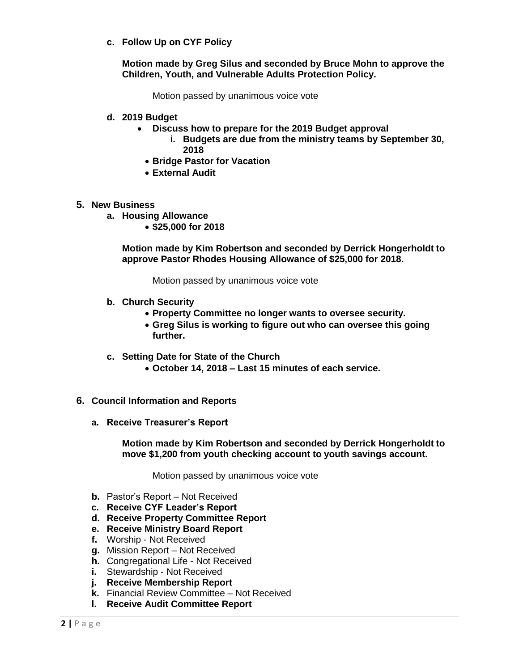**c. Follow Up on CYF Policy**

**Motion made by Greg Silus and seconded by Bruce Mohn to approve the Children, Youth, and Vulnerable Adults Protection Policy.**

Motion passed by unanimous voice vote

- **d. 2019 Budget**
	- **Discuss how to prepare for the 2019 Budget approval**
		- **i. Budgets are due from the ministry teams by September 30, 2018**
		- **Bridge Pastor for Vacation**
		- **External Audit**

#### **5. New Business**

- **a. Housing Allowance**
	- **\$25,000 for 2018**

**Motion made by Kim Robertson and seconded by Derrick Hongerholdt to approve Pastor Rhodes Housing Allowance of \$25,000 for 2018.**

Motion passed by unanimous voice vote

- **b. Church Security**
	- **Property Committee no longer wants to oversee security.**
	- **Greg Silus is working to figure out who can oversee this going further.**
- **c. Setting Date for State of the Church**
	- **October 14, 2018 – Last 15 minutes of each service.**
- **6. Council Information and Reports**
	- **a. Receive Treasurer's Report**

**Motion made by Kim Robertson and seconded by Derrick Hongerholdt to move \$1,200 from youth checking account to youth savings account.**

Motion passed by unanimous voice vote

- **b.** Pastor's Report Not Received
- **c. Receive CYF Leader's Report**
- **d. Receive Property Committee Report**
- **e. Receive Ministry Board Report**
- **f.** Worship Not Received
- **g.** Mission Report Not Received
- **h.** Congregational Life Not Received
- **i.** Stewardship Not Received
- **j. Receive Membership Report**
- **k.** Financial Review Committee Not Received
- **l. Receive Audit Committee Report**